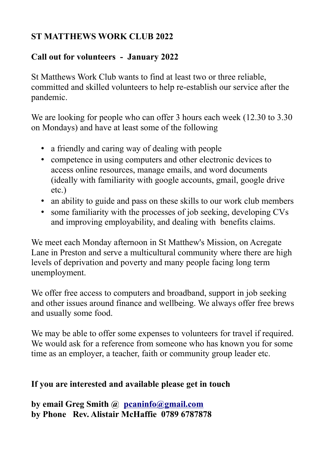## **ST MATTHEWS WORK CLUB 2022**

## **Call out for volunteers - January 2022**

St Matthews Work Club wants to find at least two or three reliable, committed and skilled volunteers to help re-establish our service after the pandemic.

We are looking for people who can offer 3 hours each week (12.30 to 3.30) on Mondays) and have at least some of the following

- a friendly and caring way of dealing with people
- competence in using computers and other electronic devices to access online resources, manage emails, and word documents (ideally with familiarity with google accounts, gmail, google drive etc.)
- an ability to guide and pass on these skills to our work club members
- some familiarity with the processes of job seeking, developing CVs and improving employability, and dealing with benefits claims.

We meet each Monday afternoon in St Matthew's Mission, on Acregate Lane in Preston and serve a multicultural community where there are high levels of deprivation and poverty and many people facing long term unemployment.

We offer free access to computers and broadband, support in job seeking and other issues around finance and wellbeing. We always offer free brews and usually some food.

We may be able to offer some expenses to volunteers for travel if required. We would ask for a reference from someone who has known you for some time as an employer, a teacher, faith or community group leader etc.

## **If you are interested and available please get in touch**

**by email Greg Smith @ [pcaninfo@gmail.com](mailto:pcaninfo@gmail.com) by Phone Rev. Alistair McHaffie 0789 6787878**